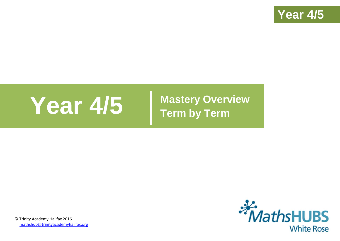

# **Year 4/5 Mastery Overview**

**Term by Term**



© Trinity Academy Halifax 2016 [mathshub@trinityacademyhalifax.org](mailto:mathshub@trinityacademyhalifax.org)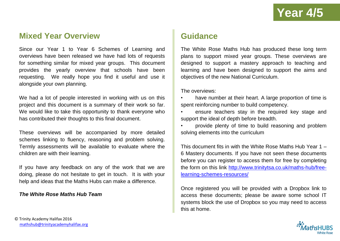### **Mixed Year Overview**

Since our Year 1 to Year 6 Schemes of Learning and overviews have been released we have had lots of requests for something similar for mixed year groups. This document provides the yearly overview that schools have been requesting. We really hope you find it useful and use it alongside your own planning.

We had a lot of people interested in working with us on this project and this document is a summary of their work so far. We would like to take this opportunity to thank everyone who has contributed their thoughts to this final document.

These overviews will be accompanied by more detailed schemes linking to fluency, reasoning and problem solving. Termly assessments will be available to evaluate where the children are with their learning.

If you have any feedback on any of the work that we are doing, please do not hesitate to get in touch. It is with your help and ideas that the Maths Hubs can make a difference.

#### *The White Rose Maths Hub Team*

## **Guidance**

The White Rose Maths Hub has produced these long term plans to support mixed year groups. These overviews are designed to support a mastery approach to teaching and learning and have been designed to support the aims and objectives of the new National Curriculum.

The overviews:

- have number at their heart. A large proportion of time is spent reinforcing number to build competency.
- ensure teachers stay in the required key stage and support the ideal of depth before breadth.
- provide plenty of time to build reasoning and problem solving elements into the curriculum

This document fits in with the White Rose Maths Hub Year 1 – 6 Mastery documents. If you have not seen these documents before you can register to access them for free by completing the form on this link [http://www.trinitytsa.co.uk/maths-hub/free](http://www.trinitytsa.co.uk/maths-hub/free-learning-schemes-resources/)[learning-schemes-resources/](http://www.trinitytsa.co.uk/maths-hub/free-learning-schemes-resources/)

Once registered you will be provided with a Dropbox link to access these documents; please be aware some school IT systems block the use of Dropbox so you may need to access this at home.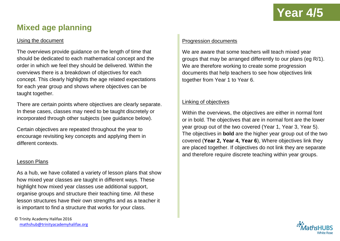## **Year 4/5**

## **Mixed age planning**

#### Using the document

The overviews provide guidance on the length of time that should be dedicated to each mathematical concept and the order in which we feel they should be delivered. Within the overviews there is a breakdown of objectives for each concept. This clearly highlights the age related expectations for each year group and shows where objectives can be taught together.

There are certain points where objectives are clearly separate. In these cases, classes may need to be taught discretely or incorporated through other subjects (see guidance below).

Certain objectives are repeated throughout the year to encourage revisiting key concepts and applying them in different contexts.

#### Lesson Plans

As a hub, we have collated a variety of lesson plans that show how mixed year classes are taught in different ways. These highlight how mixed year classes use additional support, organise groups and structure their teaching time. All these lesson structures have their own strengths and as a teacher it is important to find a structure that works for your class.

#### Progression documents

We are aware that some teachers will teach mixed year groups that may be arranged differently to our plans (eg R/1). We are therefore working to create some progression documents that help teachers to see how objectives link together from Year 1 to Year 6.

#### Linking of objectives

Within the overviews, the objectives are either in normal font or in bold. The objectives that are in normal font are the lower year group out of the two covered (Year 1, Year 3, Year 5). The objectives in **bold** are the higher year group out of the two covered (**Year 2, Year 4, Year 6**), Where objectives link they are placed together. If objectives do not link they are separate and therefore require discrete teaching within year groups.

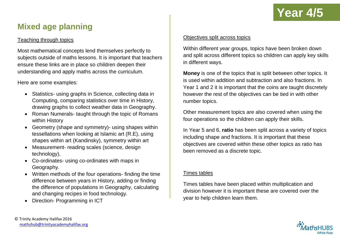

## **Mixed age planning**

#### Teaching through topics

Most mathematical concepts lend themselves perfectly to subjects outside of maths lessons. It is important that teachers ensure these links are in place so children deepen their understanding and apply maths across the curriculum.

Here are some examples:

- Statistics- using graphs in Science, collecting data in Computing, comparing statistics over time in History, drawing graphs to collect weather data in Geography.
- Roman Numerals- taught through the topic of Romans within History
- Geometry (shape and symmetry) using shapes within tessellations when looking at Islamic art (R.E), using shapes within art (Kandinsky), symmetry within art
- Measurement- reading scales (science, design technology),
- Co-ordinates- using co-ordinates with maps in Geography.
- Written methods of the four operations- finding the time difference between years in History, adding or finding the difference of populations in Geography, calculating and changing recipes in food technology.
- Direction- Programming in ICT

#### Objectives split across topics

Within different year groups, topics have been broken down and split across different topics so children can apply key skills in different ways.

**Money** is one of the topics that is split between other topics. It is used within addition and subtraction and also fractions. In Year 1 and 2 it is important that the coins are taught discretely however the rest of the objectives can be tied in with other number topics.

Other measurement topics are also covered when using the four operations so the children can apply their skills.

In Year 5 and 6, **ratio** has been split across a variety of topics including shape and fractions. It is important that these objectives are covered within these other topics as ratio has been removed as a discrete topic.

#### Times tables

Times tables have been placed within multiplication and division however it is important these are covered over the year to help children learn them.

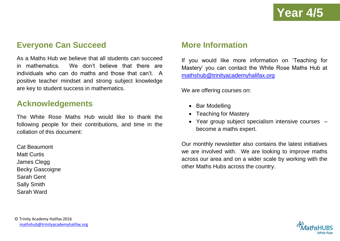### **Everyone Can Succeed**

As a Maths Hub we believe that all students can succeed in mathematics. We don't believe that there are individuals who can do maths and those that can't. A positive teacher mindset and strong subject knowledge are key to student success in mathematics.

### **Acknowledgements**

The White Rose Maths Hub would like to thank the following people for their contributions, and time in the collation of this document:

Cat Beaumont Matt Curtis James Clegg Becky Gascoigne Sarah Gent Sally Smith Sarah Ward

### **More Information**

If you would like more information on 'Teaching for Mastery' you can contact the White Rose Maths Hub at [mathshub@trinityacademyhalifax.org](mailto:mathshub@trinityacademyhalifax.org)

We are offering courses on:

- Bar Modelling
- Teaching for Mastery
- Year group subject specialism intensive courses become a maths expert.

Our monthly newsletter also contains the latest initiatives we are involved with. We are looking to improve maths across our area and on a wider scale by working with the other Maths Hubs across the country.

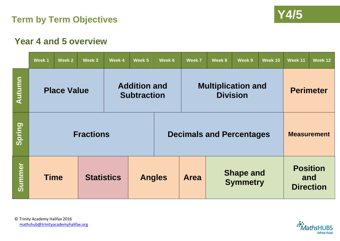



## **Year 4 and 5 overview**

|               | Week <sub>1</sub>                                               | Week 2 | Week 3                             | Week 4 | Week 5 | Week 6                                             | Week 7                          | Week 8             | Week 9 | Week 10                                    | Week 11          | Week 12 |
|---------------|-----------------------------------------------------------------|--------|------------------------------------|--------|--------|----------------------------------------------------|---------------------------------|--------------------|--------|--------------------------------------------|------------------|---------|
| Autumn        | <b>Addition and</b><br><b>Place Value</b><br><b>Subtraction</b> |        |                                    |        |        | <b>Multiplication and</b><br><b>Division</b>       |                                 |                    |        |                                            | <b>Perimeter</b> |         |
| Spring        |                                                                 |        | <b>Fractions</b>                   |        |        |                                                    | <b>Decimals and Percentages</b> | <b>Measurement</b> |        |                                            |                  |         |
| <b>Summer</b> | <b>Time</b>                                                     |        | <b>Statistics</b><br><b>Angles</b> |        |        | <b>Shape and</b><br><b>Area</b><br><b>Symmetry</b> |                                 |                    |        | <b>Position</b><br>and<br><b>Direction</b> |                  |         |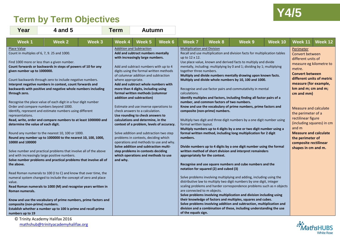## **Y4/5 Term by Term Objectives**

m.



| Year                                                                                                                                                                                                                                       | 4 and 5                                                                                                                                                                                                                                                                                                                                                                                                                                                                                                                                                                                                                                                                                                                                                                                                                                                                                                                                                                                                                                                                                                                                                                                                                                                    |        | <b>Term</b>                    | <b>Autumn</b>                                                                                                                                                                                                                                                                                                                                                                                                                                                                                                                                                                                                                                                                                                                                                                                                                              |        |                                                                                                                                                                                                                                |                                                                                                                        |                                                                                                                                                                                                                                                                                                                                                                                                                                                                                                                                                                                                                                                                                                                                                                                                                                                                                                                                                                                                                                                                                                                                                                                                                                                                                                                                                                                                                                                                                                            |         |                                                                                                                                                                                                                                                                                                                                                                                                       |                           |
|--------------------------------------------------------------------------------------------------------------------------------------------------------------------------------------------------------------------------------------------|------------------------------------------------------------------------------------------------------------------------------------------------------------------------------------------------------------------------------------------------------------------------------------------------------------------------------------------------------------------------------------------------------------------------------------------------------------------------------------------------------------------------------------------------------------------------------------------------------------------------------------------------------------------------------------------------------------------------------------------------------------------------------------------------------------------------------------------------------------------------------------------------------------------------------------------------------------------------------------------------------------------------------------------------------------------------------------------------------------------------------------------------------------------------------------------------------------------------------------------------------------|--------|--------------------------------|--------------------------------------------------------------------------------------------------------------------------------------------------------------------------------------------------------------------------------------------------------------------------------------------------------------------------------------------------------------------------------------------------------------------------------------------------------------------------------------------------------------------------------------------------------------------------------------------------------------------------------------------------------------------------------------------------------------------------------------------------------------------------------------------------------------------------------------------|--------|--------------------------------------------------------------------------------------------------------------------------------------------------------------------------------------------------------------------------------|------------------------------------------------------------------------------------------------------------------------|------------------------------------------------------------------------------------------------------------------------------------------------------------------------------------------------------------------------------------------------------------------------------------------------------------------------------------------------------------------------------------------------------------------------------------------------------------------------------------------------------------------------------------------------------------------------------------------------------------------------------------------------------------------------------------------------------------------------------------------------------------------------------------------------------------------------------------------------------------------------------------------------------------------------------------------------------------------------------------------------------------------------------------------------------------------------------------------------------------------------------------------------------------------------------------------------------------------------------------------------------------------------------------------------------------------------------------------------------------------------------------------------------------------------------------------------------------------------------------------------------------|---------|-------------------------------------------------------------------------------------------------------------------------------------------------------------------------------------------------------------------------------------------------------------------------------------------------------------------------------------------------------------------------------------------------------|---------------------------|
| Week 1                                                                                                                                                                                                                                     | <b>Week 2</b>                                                                                                                                                                                                                                                                                                                                                                                                                                                                                                                                                                                                                                                                                                                                                                                                                                                                                                                                                                                                                                                                                                                                                                                                                                              | Week 3 | Week 4                         | Week <sub>5</sub>                                                                                                                                                                                                                                                                                                                                                                                                                                                                                                                                                                                                                                                                                                                                                                                                                          | Week 6 | <b>Week 7</b>                                                                                                                                                                                                                  | Week 8                                                                                                                 | Week 9                                                                                                                                                                                                                                                                                                                                                                                                                                                                                                                                                                                                                                                                                                                                                                                                                                                                                                                                                                                                                                                                                                                                                                                                                                                                                                                                                                                                                                                                                                     | Week 10 | Week 11                                                                                                                                                                                                                                                                                                                                                                                               | Week 12                   |
| Place Value<br>given number up to 1000000.<br>through zero.<br>representations.<br>determine the value of each digit.<br>10000 and 100000<br>the above.<br>value.<br>Roman numerals.<br>composite (non-prime) numbers.<br>numbers up to 19 | Count in multiples of 6, 7, 9. 25 and 1000.<br>Find 1000 more or less than a given number.<br>Count forwards or backwards in steps of powers of 10 for any<br>Count backwards through zero to include negative numbers.<br>Interpret negative numbers in context, count forwards and<br>backwards with positive and negative whole numbers including<br>Recognise the place value of each digit in a four digit number<br>Order and compare numbers beyond 1000.<br>Identify, represent and estimate numbers using different<br>Read, write, order and compare numbers to at least 1000000 and<br>Round any number to the nearest 10, 100 or 1000.<br>Round any number up to 1000000 to the nearest 10, 100, 1000,<br>Solve number and practical problems that involve all of the above<br>and with increasingly large positive numbers.<br>Solve number problems and practical problems that involve all of<br>Read Roman numerals to 100 (I to C) and know that over time, the<br>numeral system changed to include the concept of zero and place<br>Read Roman numerals to 1000 (M) and recognise years written in<br>Know and use the vocabulary of prime numbers, prime factors and<br>Establish whether a number up to 100 is prime and recall prime |        | where appropriate.<br>and why. | <b>Addition and Subtraction</b><br>Add and subtract numbers mentally<br>with increasingly large numbers.<br>Add and subtract numbers with up to 4<br>digits using the formal written methods<br>of columnar addition and subtraction<br>Add and subtract whole numbers with<br>more than 4 digits, including using<br>formal written methods (columnar<br>addition and subtraction)<br>Estimate and use inverse operations to<br>check answers to a calculation.<br>Use rounding to check answers to<br>calculations and determine, in the<br>context of a problem, levels of accuracy.<br>Solve addition and subtraction two step<br>problems in contexts, deciding which<br>operations and methods to use and why.<br>Solve addition and subtraction multi-<br>step problems in contexts deciding<br>which operations and methods to use |        | <b>Multiplication and Division</b><br>up to 12 x 12.<br>together three numbers.<br>calculations.<br>formal written layout.<br>numbers.<br>appropriately for the context.<br>are connected to m objects.<br>of the equals sign. | number, and common factors of two numbers.<br>composite (non-prime) numbers.<br>notation for squared (2) and cubed (3) | Recall and use multiplication and division facts for multiplication tables<br>Use place value, known and derived facts to multiply and divide<br>mentally, including: multiplying by 0 and 1; dividing by 1; multiplying<br>Multiply and divide numbers mentally drawing upon known facts.<br>Multiply and divide whole numbers by 10, 100 and 1000.<br>Recognise and use factor pairs and commutativity in mental<br>Identify multiples and factors, including finding all factor pairs of a<br>Know and use the vocabulary of prime numbers, prime factors and<br>Multiply two digit and three digit numbers by a one digit number using<br>Multiply numbers up to 4 digits by a one or two digit number using a<br>formal written method, including long multiplication for 2 digit<br>Divide numbers up to 4 digits by a one digit number using the formal<br>written method of short division and interpret remainders<br>Recognise and use square numbers and cube numbers and the<br>Solve problems involving multiplying and adding, including using the<br>distributive law to multiply two digit numbers by one digit, integer<br>scaling problems and harder correspondence problems such as n objects<br>Solve problems involving multiplication and division including using<br>their knowledge of factors and multiples, squares and cubes.<br>Solve problems involving addition and subtraction, multiplication and<br>division and a combination of these, including understanding the use |         | Perimeter<br>Convert between<br>different units of<br>measure eg kilometre to<br>metre.<br><b>Convert between</b><br>measure (for example,<br>km and m; cm and m;<br>cm and mm)<br><b>Measure and calculate</b><br>the perimeter of a<br>rectilinear figure<br>(including squares) in cm<br>and m<br><b>Measure and calculate</b><br>the perimeter of<br>composite rectilinear<br>shapes in cm and m. | different units of metric |

© Trinity Academy Halifax 2016 [mathshub@trinityacademyhalifax.org](mailto:mathshub@trinityacademyhalifax.org)

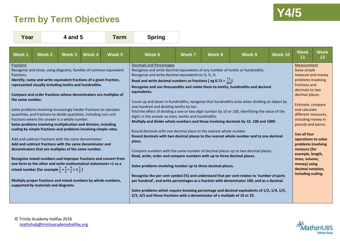## **Y4/5 Term by Term Objectives**



| Year                                                                                                                                                                                                                                                                                                                                                                                                                                                                                                                                                                                                                                                                                                                                                                                                                                                                                                                                                                                                                                                                                                                                                                       | 4 and 5       |        | Term          | <b>Spring</b> |                                                                                                                                                                                                                                                                                                                                                                                                                                                                                                                                                                                                                                                                                                                                                                                                                                                                                                                                                                                                                                                                                                                                                                                                                                                                                                                                                                                                                                                                                                                                                                  |               |        |        |         |                                                                                                                                                                                                                                                                                                                                                                                                                                  |                   |
|----------------------------------------------------------------------------------------------------------------------------------------------------------------------------------------------------------------------------------------------------------------------------------------------------------------------------------------------------------------------------------------------------------------------------------------------------------------------------------------------------------------------------------------------------------------------------------------------------------------------------------------------------------------------------------------------------------------------------------------------------------------------------------------------------------------------------------------------------------------------------------------------------------------------------------------------------------------------------------------------------------------------------------------------------------------------------------------------------------------------------------------------------------------------------|---------------|--------|---------------|---------------|------------------------------------------------------------------------------------------------------------------------------------------------------------------------------------------------------------------------------------------------------------------------------------------------------------------------------------------------------------------------------------------------------------------------------------------------------------------------------------------------------------------------------------------------------------------------------------------------------------------------------------------------------------------------------------------------------------------------------------------------------------------------------------------------------------------------------------------------------------------------------------------------------------------------------------------------------------------------------------------------------------------------------------------------------------------------------------------------------------------------------------------------------------------------------------------------------------------------------------------------------------------------------------------------------------------------------------------------------------------------------------------------------------------------------------------------------------------------------------------------------------------------------------------------------------------|---------------|--------|--------|---------|----------------------------------------------------------------------------------------------------------------------------------------------------------------------------------------------------------------------------------------------------------------------------------------------------------------------------------------------------------------------------------------------------------------------------------|-------------------|
| <b>Week1</b>                                                                                                                                                                                                                                                                                                                                                                                                                                                                                                                                                                                                                                                                                                                                                                                                                                                                                                                                                                                                                                                                                                                                                               | <b>Week 2</b> | Week 3 | <b>Week 4</b> | Week 5        | Week 6                                                                                                                                                                                                                                                                                                                                                                                                                                                                                                                                                                                                                                                                                                                                                                                                                                                                                                                                                                                                                                                                                                                                                                                                                                                                                                                                                                                                                                                                                                                                                           | <b>Week 7</b> | Week 8 | Week 9 | Week 10 | <b>Week</b><br>11                                                                                                                                                                                                                                                                                                                                                                                                                | <b>Week</b><br>12 |
| Fractions<br>Recognise and show, using diagrams, families of common equivalent<br>fractions.<br>Identify, name and write equivalent fractions of a given fraction,<br>represented visually including tenths and hundredths.<br>Compare and order fractions whose denominators are multiples of<br>the same number.<br>Solve problems involving increasingly harder fractions to calculate<br>quantities, and fractions to divide quantities, including non-unit<br>fractions where the answer is a whole number.<br>Solve problems involving multiplication and division, including<br>scaling by simple fractions and problems involving simple rates.<br>Add and subtract fractions with the same denominator.<br>Add and subtract fractions with the same denominator and<br>denominators that are multiples of the same number.<br>Recognise mixed numbers and improper fractions and convert from<br>one form to the other and write mathematical statements >1 as a<br>mixed number [for example $\frac{2}{5} + \frac{4}{5} = \frac{6}{5} = 1\frac{1}{5}$ ]<br>Multiply proper fractions and mixed numbers by whole numbers,<br>supported by materials and diagrams. |               |        |               |               | Decimals and Percentages<br>Recognise and write decimal equivalents of any number of tenths or hundredths.<br>Recognise and write decimal equivalents to $\frac{1}{4}$ , $\frac{1}{2}$ , $\frac{3}{4}$<br>Read and write decimal numbers as fractions [ eg 0.71 = $\frac{71}{100}$ ]<br>Recognise and use thousandths and relate them to tenths, hundredths and decimal<br>equivalents.<br>Count up and down in hundredths; recognise that hundredths arise when dividing an object by<br>one hundred and dividing tenths by ten.<br>Find the effect of dividing a one or two digit number by 10 or 100, identifying the value of the<br>digits in the answer as ones, tenths and hundredths<br>Multiply and divide whole numbers and those involving decimals by 10, 100 and 1000.<br>Round decimals with one decimal place to the nearest whole number.<br>Round decimals with two decimal places to the nearest whole number and to one decimal<br>place.<br>Compare numbers with the same number of decimal places up to two decimal places.<br>Read, write, order and compare numbers with up to three decimal places.<br>Solve problems involving number up to three decimal places.<br>Recognise the per cent symbol (%) and understand that per cent relates to 'number of parts<br>per hundred', and write percentages as a fraction with denominator 100, and as a decimal.<br>Solve problems which require knowing percentage and decimal equivalents of 1/2, 1/4, 1/5,<br>2/5, 4/5 and those fractions with a denominator of a multiple of 10 or 25. |               |        |        |         | <b>Measurement</b><br>Solve simple<br>measure and money<br>problems involving<br>fractions and<br>decimals to two<br>decimal places.<br>Estimate, compare<br>and calculate<br>different measures,<br>including money in<br>pounds and pence.<br><b>Use all four</b><br>operations to solve<br>problems involving<br>measure [for<br>example, length,<br>mass, volume,<br>money] using<br>decimal notation,<br>including scaling. |                   |